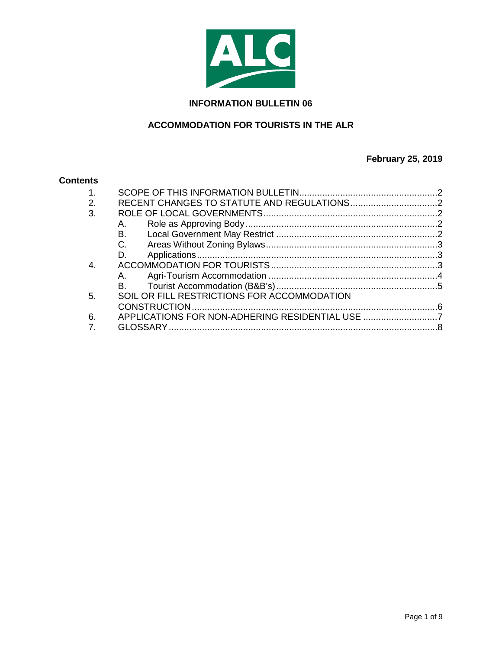

#### **INFORMATION BULLETIN 06**

# **ACCOMMODATION FOR TOURISTS IN THE ALR**

# **February 25, 2019**

#### **Contents**

| 1. |                                                 |  |
|----|-------------------------------------------------|--|
| 2. |                                                 |  |
| 3. |                                                 |  |
|    | А.                                              |  |
|    | B.,                                             |  |
|    | $C_{1}$                                         |  |
|    | D.                                              |  |
|    |                                                 |  |
|    | A.                                              |  |
|    | <b>B</b> .                                      |  |
| 5. | SOIL OR FILL RESTRICTIONS FOR ACCOMMODATION     |  |
|    |                                                 |  |
| 6. | APPLICATIONS FOR NON-ADHERING RESIDENTIAL USE 7 |  |
|    |                                                 |  |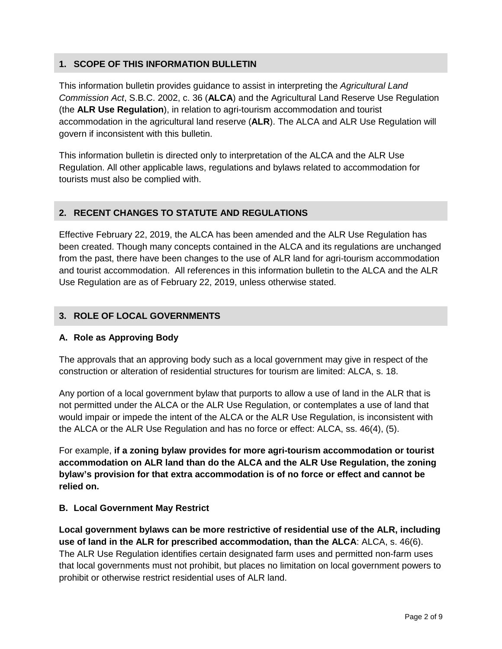## <span id="page-1-0"></span>**1. SCOPE OF THIS INFORMATION BULLETIN**

This information bulletin provides guidance to assist in interpreting the *Agricultural Land Commission Act*, S.B.C. 2002, c. 36 (**ALCA**) and the Agricultural Land Reserve Use Regulation (the **ALR Use Regulation**), in relation to agri-tourism accommodation and tourist accommodation in the agricultural land reserve (**ALR**). The ALCA and ALR Use Regulation will govern if inconsistent with this bulletin.

This information bulletin is directed only to interpretation of the ALCA and the ALR Use Regulation. All other applicable laws, regulations and bylaws related to accommodation for tourists must also be complied with.

## <span id="page-1-1"></span>**2. RECENT CHANGES TO STATUTE AND REGULATIONS**

Effective February 22, 2019, the ALCA has been amended and the ALR Use Regulation has been created. Though many concepts contained in the ALCA and its regulations are unchanged from the past, there have been changes to the use of ALR land for agri-tourism accommodation and tourist accommodation. All references in this information bulletin to the ALCA and the ALR Use Regulation are as of February 22, 2019, unless otherwise stated.

#### <span id="page-1-2"></span>**3. ROLE OF LOCAL GOVERNMENTS**

#### <span id="page-1-3"></span>**A. Role as Approving Body**

The approvals that an approving body such as a local government may give in respect of the construction or alteration of residential structures for tourism are limited: ALCA, s. 18.

Any portion of a local government bylaw that purports to allow a use of land in the ALR that is not permitted under the ALCA or the ALR Use Regulation, or contemplates a use of land that would impair or impede the intent of the ALCA or the ALR Use Regulation, is inconsistent with the ALCA or the ALR Use Regulation and has no force or effect: ALCA, ss. 46(4), (5).

For example, **if a zoning bylaw provides for more agri-tourism accommodation or tourist accommodation on ALR land than do the ALCA and the ALR Use Regulation, the zoning bylaw's provision for that extra accommodation is of no force or effect and cannot be relied on.** 

#### <span id="page-1-4"></span>**B. Local Government May Restrict**

**Local government bylaws can be more restrictive of residential use of the ALR, including use of land in the ALR for prescribed accommodation, than the ALCA**: ALCA, s. 46(6). The ALR Use Regulation identifies certain designated farm uses and permitted non-farm uses that local governments must not prohibit, but places no limitation on local government powers to prohibit or otherwise restrict residential uses of ALR land.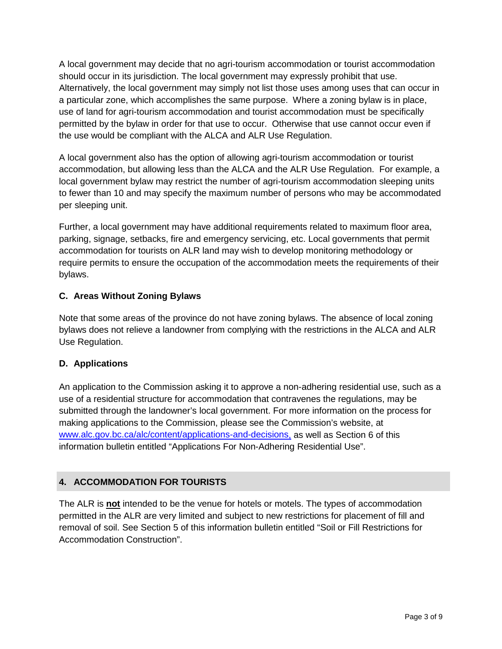A local government may decide that no agri-tourism accommodation or tourist accommodation should occur in its jurisdiction. The local government may expressly prohibit that use. Alternatively, the local government may simply not list those uses among uses that can occur in a particular zone, which accomplishes the same purpose. Where a zoning bylaw is in place, use of land for agri-tourism accommodation and tourist accommodation must be specifically permitted by the bylaw in order for that use to occur. Otherwise that use cannot occur even if the use would be compliant with the ALCA and ALR Use Regulation.

A local government also has the option of allowing agri-tourism accommodation or tourist accommodation, but allowing less than the ALCA and the ALR Use Regulation. For example, a local government bylaw may restrict the number of agri-tourism accommodation sleeping units to fewer than 10 and may specify the maximum number of persons who may be accommodated per sleeping unit.

Further, a local government may have additional requirements related to maximum floor area, parking, signage, setbacks, fire and emergency servicing, etc. Local governments that permit accommodation for tourists on ALR land may wish to develop monitoring methodology or require permits to ensure the occupation of the accommodation meets the requirements of their bylaws.

## <span id="page-2-0"></span>**C. Areas Without Zoning Bylaws**

Note that some areas of the province do not have zoning bylaws. The absence of local zoning bylaws does not relieve a landowner from complying with the restrictions in the ALCA and ALR Use Regulation.

## <span id="page-2-1"></span>**D. Applications**

An application to the Commission asking it to approve a non-adhering residential use, such as a use of a residential structure for accommodation that contravenes the regulations, may be submitted through the landowner's local government. For more information on the process for making applications to the Commission, please see the Commission's website, at [www.alc.gov.bc.ca/alc/content/applications-and-decisions,](https://www.alc.gov.bc.ca/alc/content/applications-and-decisions) as well as Section 6 of this information bulletin entitled "Applications For Non-Adhering Residential Use".

## <span id="page-2-2"></span>**4. ACCOMMODATION FOR TOURISTS**

The ALR is **not** intended to be the venue for hotels or motels. The types of accommodation permitted in the ALR are very limited and subject to new restrictions for placement of fill and removal of soil. See Section 5 of this information bulletin entitled "Soil or Fill Restrictions for Accommodation Construction".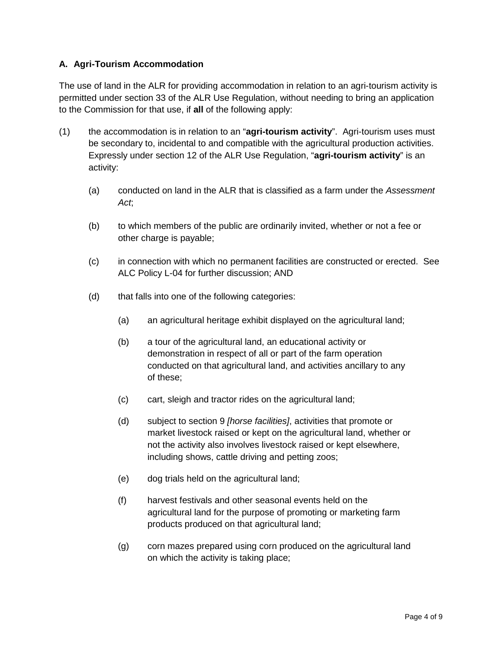### <span id="page-3-0"></span>**A. Agri-Tourism Accommodation**

The use of land in the ALR for providing accommodation in relation to an agri-tourism activity is permitted under section 33 of the ALR Use Regulation, without needing to bring an application to the Commission for that use, if **all** of the following apply:

- (1) the accommodation is in relation to an "**agri-tourism activity**". Agri-tourism uses must be secondary to, incidental to and compatible with the agricultural production activities. Expressly under section 12 of the ALR Use Regulation, "**agri-tourism activity**" is an activity:
	- (a) conducted on land in the ALR that is classified as a farm under the *Assessment Act*;
	- (b) to which members of the public are ordinarily invited, whether or not a fee or other charge is payable;
	- (c) in connection with which no permanent facilities are constructed or erected. See ALC Policy L-04 for further discussion; AND
	- (d) that falls into one of the following categories:
		- (a) an agricultural heritage exhibit displayed on the agricultural land;
		- (b) a tour of the agricultural land, an educational activity or demonstration in respect of all or part of the farm operation conducted on that agricultural land, and activities ancillary to any of these;
		- (c) cart, sleigh and tractor rides on the agricultural land;
		- (d) subject to section 9 *[horse facilities]*, activities that promote or market livestock raised or kept on the agricultural land, whether or not the activity also involves livestock raised or kept elsewhere, including shows, cattle driving and petting zoos;
		- (e) dog trials held on the agricultural land;
		- (f) harvest festivals and other seasonal events held on the agricultural land for the purpose of promoting or marketing farm products produced on that agricultural land;
		- (g) corn mazes prepared using corn produced on the agricultural land on which the activity is taking place;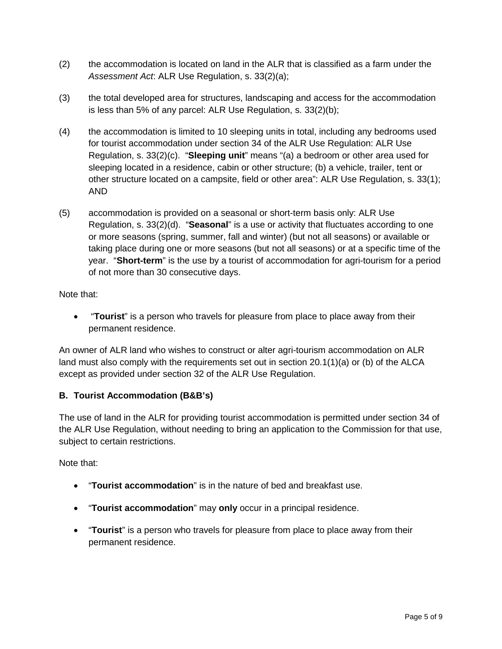- (2) the accommodation is located on land in the ALR that is classified as a farm under the *Assessment Act*: ALR Use Regulation, s. 33(2)(a);
- (3) the total developed area for structures, landscaping and access for the accommodation is less than 5% of any parcel: ALR Use Regulation, s. 33(2)(b);
- (4) the accommodation is limited to 10 sleeping units in total, including any bedrooms used for tourist accommodation under section 34 of the ALR Use Regulation: ALR Use Regulation, s. 33(2)(c). "**Sleeping unit**" means "(a) a bedroom or other area used for sleeping located in a residence, cabin or other structure; (b) a vehicle, trailer, tent or other structure located on a campsite, field or other area": ALR Use Regulation, s. 33(1); AND
- (5) accommodation is provided on a seasonal or short-term basis only: ALR Use Regulation, s. 33(2)(d). "**Seasonal**" is a use or activity that fluctuates according to one or more seasons (spring, summer, fall and winter) (but not all seasons) or available or taking place during one or more seasons (but not all seasons) or at a specific time of the year. "**Short-term**" is the use by a tourist of accommodation for agri-tourism for a period of not more than 30 consecutive days.

Note that:

• **Tourist**" is a person who travels for pleasure from place to place away from their permanent residence.

An owner of ALR land who wishes to construct or alter agri-tourism accommodation on ALR land must also comply with the requirements set out in section 20.1(1)(a) or (b) of the ALCA except as provided under section 32 of the ALR Use Regulation.

## <span id="page-4-0"></span>**B. Tourist Accommodation (B&B's)**

The use of land in the ALR for providing tourist accommodation is permitted under section 34 of the ALR Use Regulation, without needing to bring an application to the Commission for that use, subject to certain restrictions.

Note that:

- "**Tourist accommodation**" is in the nature of bed and breakfast use.
- "**Tourist accommodation**" may **only** occur in a principal residence.
- "**Tourist**" is a person who travels for pleasure from place to place away from their permanent residence.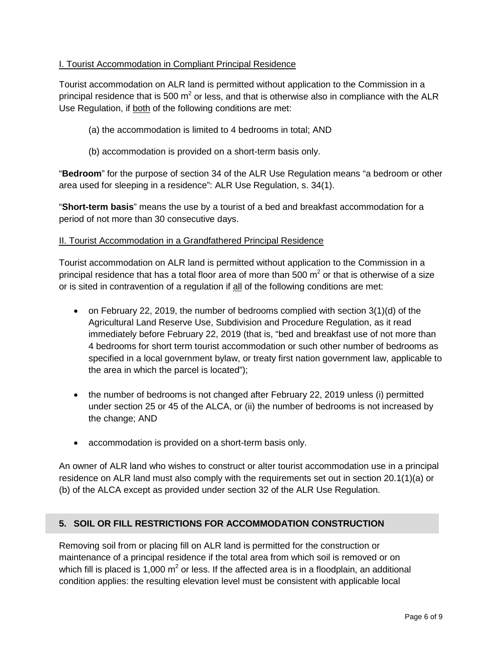#### I. Tourist Accommodation in Compliant Principal Residence

Tourist accommodation on ALR land is permitted without application to the Commission in a principal residence that is 500  $m^2$  or less, and that is otherwise also in compliance with the ALR Use Regulation, if both of the following conditions are met:

- (a) the accommodation is limited to 4 bedrooms in total; AND
- (b) accommodation is provided on a short-term basis only.

"**Bedroom**" for the purpose of section 34 of the ALR Use Regulation means "a bedroom or other area used for sleeping in a residence": ALR Use Regulation, s. 34(1).

"**Short-term basis**" means the use by a tourist of a bed and breakfast accommodation for a period of not more than 30 consecutive days.

#### II. Tourist Accommodation in a Grandfathered Principal Residence

Tourist accommodation on ALR land is permitted without application to the Commission in a principal residence that has a total floor area of more than 500  $m<sup>2</sup>$  or that is otherwise of a size or is sited in contravention of a regulation if all of the following conditions are met:

- on February 22, 2019, the number of bedrooms complied with section 3(1)(d) of the Agricultural Land Reserve Use, Subdivision and Procedure Regulation, as it read immediately before February 22, 2019 (that is, "bed and breakfast use of not more than 4 bedrooms for short term tourist accommodation or such other number of bedrooms as specified in a local government bylaw, or treaty first nation government law, applicable to the area in which the parcel is located");
- the number of bedrooms is not changed after February 22, 2019 unless (i) permitted under section 25 or 45 of the ALCA, or (ii) the number of bedrooms is not increased by the change; AND
- accommodation is provided on a short-term basis only.

An owner of ALR land who wishes to construct or alter tourist accommodation use in a principal residence on ALR land must also comply with the requirements set out in section 20.1(1)(a) or (b) of the ALCA except as provided under section 32 of the ALR Use Regulation.

#### <span id="page-5-0"></span>**5. SOIL OR FILL RESTRICTIONS FOR ACCOMMODATION CONSTRUCTION**

Removing soil from or placing fill on ALR land is permitted for the construction or maintenance of a principal residence if the total area from which soil is removed or on which fill is placed is 1,000  $m^2$  or less. If the affected area is in a floodplain, an additional condition applies: the resulting elevation level must be consistent with applicable local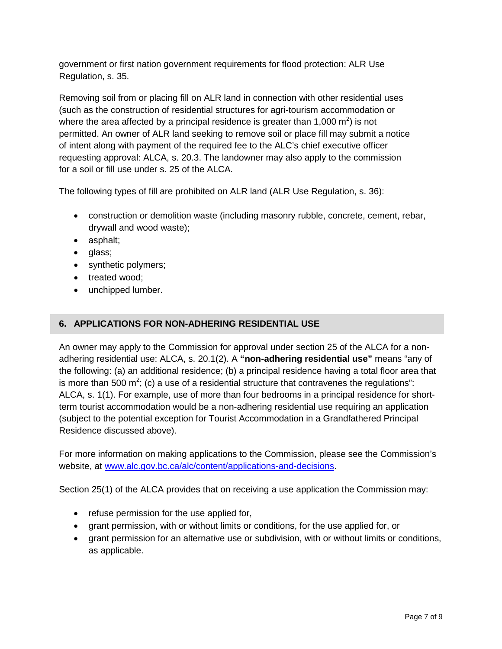government or first nation government requirements for flood protection: ALR Use Regulation, s. 35.

Removing soil from or placing fill on ALR land in connection with other residential uses (such as the construction of residential structures for agri-tourism accommodation or where the area affected by a principal residence is greater than 1,000  $m^2$ ) is not permitted. An owner of ALR land seeking to remove soil or place fill may submit a notice of intent along with payment of the required fee to the ALC's chief executive officer requesting approval: ALCA, s. 20.3. The landowner may also apply to the commission for a soil or fill use under s. 25 of the ALCA.

The following types of fill are prohibited on ALR land (ALR Use Regulation, s. 36):

- construction or demolition waste (including masonry rubble, concrete, cement, rebar, drywall and wood waste);
- asphalt;
- glass;
- synthetic polymers;
- treated wood;
- unchipped lumber.

### <span id="page-6-0"></span>**6. APPLICATIONS FOR NON-ADHERING RESIDENTIAL USE**

An owner may apply to the Commission for approval under section 25 of the ALCA for a nonadhering residential use: ALCA, s. 20.1(2). A **"non-adhering residential use"** means "any of the following: (a) an additional residence; (b) a principal residence having a total floor area that is more than 500 m<sup>2</sup>; (c) a use of a residential structure that contravenes the regulations": ALCA, s. 1(1). For example, use of more than four bedrooms in a principal residence for shortterm tourist accommodation would be a non-adhering residential use requiring an application (subject to the potential exception for Tourist Accommodation in a Grandfathered Principal Residence discussed above).

For more information on making applications to the Commission, please see the Commission's website, at [www.alc.gov.bc.ca/alc/content/applications-and-decisions.](http://www.alc.gov.bc.ca/alc/content/applications-and-decisions)

Section 25(1) of the ALCA provides that on receiving a use application the Commission may:

- refuse permission for the use applied for,
- grant permission, with or without limits or conditions, for the use applied for, or
- grant permission for an alternative use or subdivision, with or without limits or conditions, as applicable.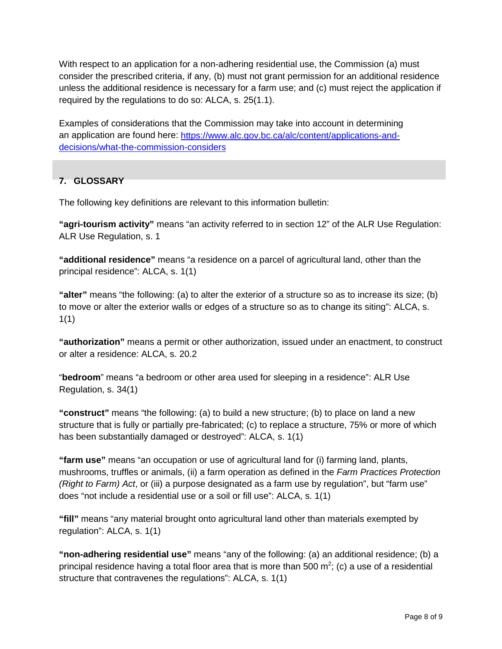With respect to an application for a non-adhering residential use, the Commission (a) must consider the prescribed criteria, if any, (b) must not grant permission for an additional residence unless the additional residence is necessary for a farm use; and (c) must reject the application if required by the regulations to do so: ALCA, s. 25(1.1).

Examples of considerations that the Commission may take into account in determining an application are found here: [https://www.alc.gov.bc.ca/alc/content/applications-and](https://www.alc.gov.bc.ca/alc/content/applications-and-decisions/what-the-commission-considers)[decisions/what-the-commission-considers](https://www.alc.gov.bc.ca/alc/content/applications-and-decisions/what-the-commission-considers)

## <span id="page-7-0"></span>**7. GLOSSARY**

The following key definitions are relevant to this information bulletin:

**"agri-tourism activity"** means "an activity referred to in section 12" of the ALR Use Regulation: ALR Use Regulation, s. 1

**"additional residence"** means "a residence on a parcel of agricultural land, other than the principal residence": ALCA, s. 1(1)

**"alter"** means "the following: (a) to alter the exterior of a structure so as to increase its size; (b) to move or alter the exterior walls or edges of a structure so as to change its siting": ALCA, s. 1(1)

**"authorization"** means a permit or other authorization, issued under an enactment, to construct or alter a residence: ALCA, s. 20.2

"**bedroom**" means "a bedroom or other area used for sleeping in a residence": ALR Use Regulation, s. 34(1)

**"construct"** means "the following: (a) to build a new structure; (b) to place on land a new structure that is fully or partially pre-fabricated; (c) to replace a structure, 75% or more of which has been substantially damaged or destroyed": ALCA, s. 1(1)

**"farm use"** means "an occupation or use of agricultural land for (i) farming land, plants, mushrooms, truffles or animals, (ii) a farm operation as defined in the *Farm Practices Protection (Right to Farm) Act*, or (iii) a purpose designated as a farm use by regulation", but "farm use" does "not include a residential use or a soil or fill use": ALCA, s. 1(1)

**"fill"** means "any material brought onto agricultural land other than materials exempted by regulation": ALCA, s. 1(1)

**"non-adhering residential use"** means "any of the following: (a) an additional residence; (b) a principal residence having a total floor area that is more than 500 m<sup>2</sup>; (c) a use of a residential structure that contravenes the regulations": ALCA, s. 1(1)